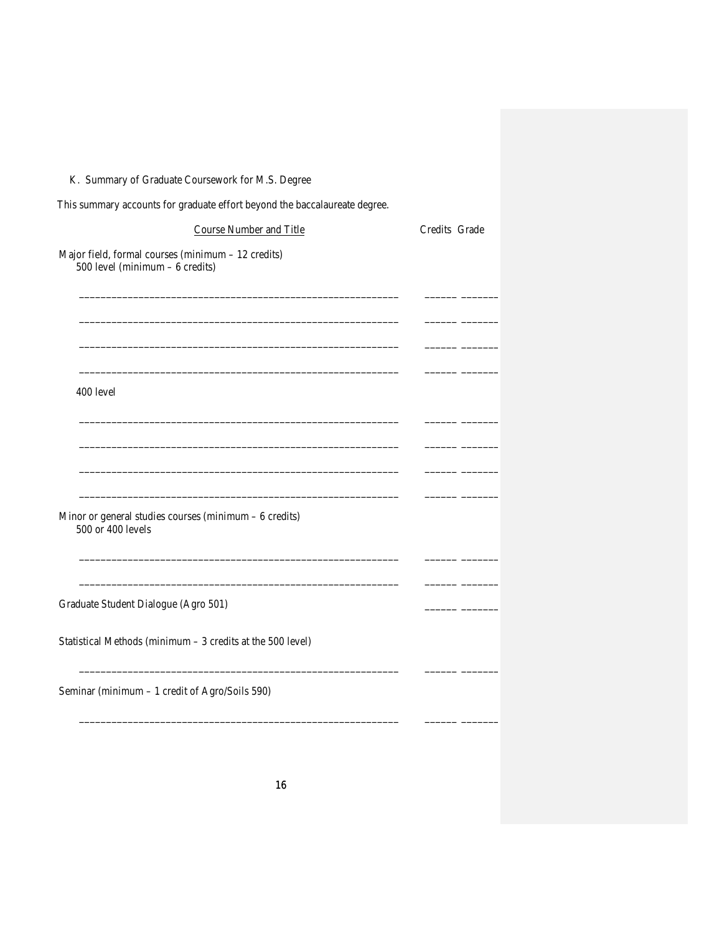## K. Summary of Graduate Coursework for M.S. Degree

| This summary accounts for graduate effort beyond the baccalaureate degree. |  |
|----------------------------------------------------------------------------|--|
|----------------------------------------------------------------------------|--|

| <b>Course Number and Title</b>                                                         | Credits Grade |  |
|----------------------------------------------------------------------------------------|---------------|--|
| Major field, formal courses (minimum - 12 credits)<br>500 level (minimum $-6$ credits) |               |  |
|                                                                                        |               |  |
|                                                                                        |               |  |
| 400 level                                                                              |               |  |
|                                                                                        |               |  |
| Minor or general studies courses (minimum $-6$ credits)<br>500 or 400 levels           |               |  |
| Graduate Student Dialogue (Agro 501)                                                   |               |  |
| Statistical Methods (minimum - 3 credits at the 500 level)                             |               |  |
| Seminar (minimum - 1 credit of Agro/Soils 590)                                         |               |  |
|                                                                                        |               |  |